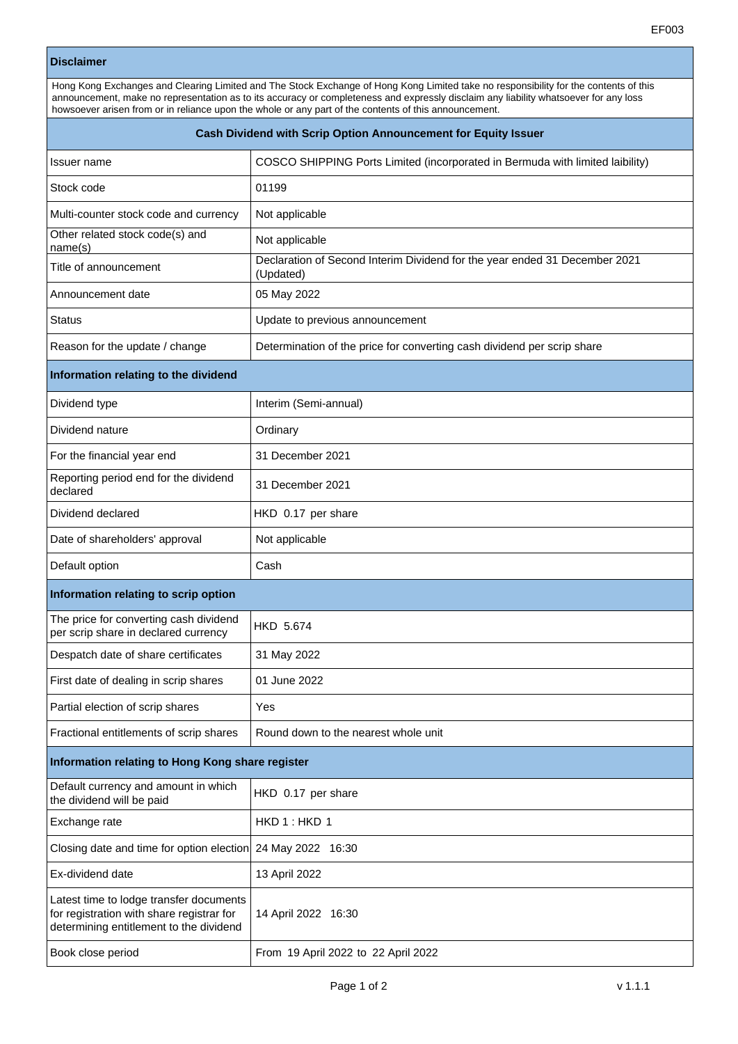## **Disclaimer**

| Disciaimer                                                                                                                                                                                                                                                                                                                                                                            |                                                                                         |
|---------------------------------------------------------------------------------------------------------------------------------------------------------------------------------------------------------------------------------------------------------------------------------------------------------------------------------------------------------------------------------------|-----------------------------------------------------------------------------------------|
| Hong Kong Exchanges and Clearing Limited and The Stock Exchange of Hong Kong Limited take no responsibility for the contents of this<br>announcement, make no representation as to its accuracy or completeness and expressly disclaim any liability whatsoever for any loss<br>howsoever arisen from or in reliance upon the whole or any part of the contents of this announcement. |                                                                                         |
| Cash Dividend with Scrip Option Announcement for Equity Issuer                                                                                                                                                                                                                                                                                                                        |                                                                                         |
| Issuer name                                                                                                                                                                                                                                                                                                                                                                           | COSCO SHIPPING Ports Limited (incorporated in Bermuda with limited laibility)           |
| Stock code                                                                                                                                                                                                                                                                                                                                                                            | 01199                                                                                   |
| Multi-counter stock code and currency                                                                                                                                                                                                                                                                                                                                                 | Not applicable                                                                          |
| Other related stock code(s) and<br>name(s)                                                                                                                                                                                                                                                                                                                                            | Not applicable                                                                          |
| Title of announcement                                                                                                                                                                                                                                                                                                                                                                 | Declaration of Second Interim Dividend for the year ended 31 December 2021<br>(Updated) |
| Announcement date                                                                                                                                                                                                                                                                                                                                                                     | 05 May 2022                                                                             |
| Status                                                                                                                                                                                                                                                                                                                                                                                | Update to previous announcement                                                         |
| Reason for the update / change                                                                                                                                                                                                                                                                                                                                                        | Determination of the price for converting cash dividend per scrip share                 |
| Information relating to the dividend                                                                                                                                                                                                                                                                                                                                                  |                                                                                         |
| Dividend type                                                                                                                                                                                                                                                                                                                                                                         | Interim (Semi-annual)                                                                   |
| Dividend nature                                                                                                                                                                                                                                                                                                                                                                       | Ordinary                                                                                |
| For the financial year end                                                                                                                                                                                                                                                                                                                                                            | 31 December 2021                                                                        |
| Reporting period end for the dividend<br>declared                                                                                                                                                                                                                                                                                                                                     | 31 December 2021                                                                        |
| Dividend declared                                                                                                                                                                                                                                                                                                                                                                     | HKD 0.17 per share                                                                      |
| Date of shareholders' approval                                                                                                                                                                                                                                                                                                                                                        | Not applicable                                                                          |
| Default option                                                                                                                                                                                                                                                                                                                                                                        | Cash                                                                                    |
| Information relating to scrip option                                                                                                                                                                                                                                                                                                                                                  |                                                                                         |
| The price for converting cash dividend  <br>per scrip share in declared currency                                                                                                                                                                                                                                                                                                      | <b>HKD 5.674</b>                                                                        |
| Despatch date of share certificates                                                                                                                                                                                                                                                                                                                                                   | 31 May 2022                                                                             |
| First date of dealing in scrip shares                                                                                                                                                                                                                                                                                                                                                 | 01 June 2022                                                                            |
| Partial election of scrip shares                                                                                                                                                                                                                                                                                                                                                      | Yes                                                                                     |
| Fractional entitlements of scrip shares                                                                                                                                                                                                                                                                                                                                               | Round down to the nearest whole unit                                                    |
| Information relating to Hong Kong share register                                                                                                                                                                                                                                                                                                                                      |                                                                                         |
| Default currency and amount in which<br>the dividend will be paid                                                                                                                                                                                                                                                                                                                     | HKD 0.17 per share                                                                      |
| Exchange rate                                                                                                                                                                                                                                                                                                                                                                         | HKD 1: HKD 1                                                                            |
| Closing date and time for option election                                                                                                                                                                                                                                                                                                                                             | 24 May 2022 16:30                                                                       |
| Ex-dividend date                                                                                                                                                                                                                                                                                                                                                                      | 13 April 2022                                                                           |
| Latest time to lodge transfer documents<br>for registration with share registrar for<br>determining entitlement to the dividend                                                                                                                                                                                                                                                       | 14 April 2022 16:30                                                                     |

Book close period **From 19 April 2022 to 22 April 2022**